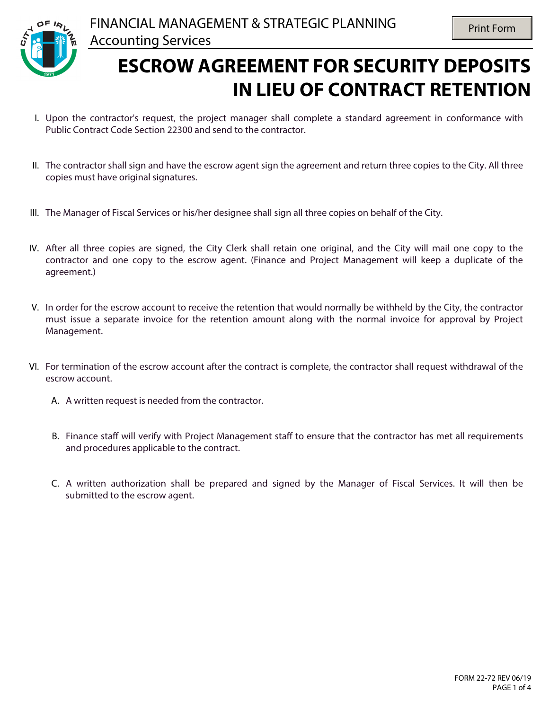

## **ESCROW AGREEMENT FOR SECURITY DEPOSITS IN LIEU OF CONTRACT RETENTION**

- I. Upon the contractor's request, the project manager shall complete a standard agreement in conformance with Public Contract Code Section 22300 and send to the contractor.
- II. The contractor shall sign and have the escrow agent sign the agreement and return three copies to the City. All three copies must have original signatures.
- III. The Manager of Fiscal Services or his/her designee shall sign all three copies on behalf of the City.
- IV. After all three copies are signed, the City Clerk shall retain one original, and the City will mail one copy to the contractor and one copy to the escrow agent. (Finance and Project Management will keep a duplicate of the agreement.)
- V. In order for the escrow account to receive the retention that would normally be withheld by the City, the contractor must issue a separate invoice for the retention amount along with the normal invoice for approval by Project Management.
- VI. For termination of the escrow account after the contract is complete, the contractor shall request withdrawal of the escrow account.
	- A. A written request is needed from the contractor.
	- B. Finance staff will verify with Project Management staff to ensure that the contractor has met all requirements and procedures applicable to the contract.
	- C. A written authorization shall be prepared and signed by the Manager of Fiscal Services. It will then be submitted to the escrow agent.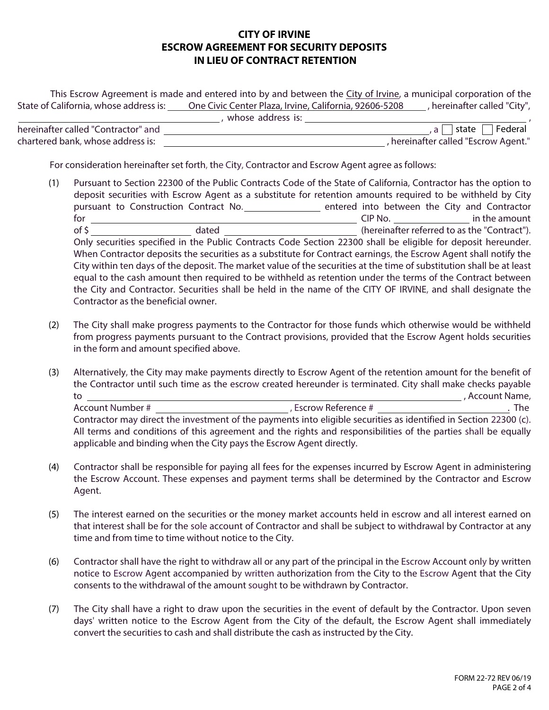## **CITY OF IRVINE ESCROW AGREEMENT FOR SECURITY DEPOSITS IN LIEU OF CONTRACT RETENTION**

This Escrow Agreement is made and entered into by and between the City of Irvine, a municipal corporation of the State of California, whose address is: One Civic Center Plaza, Irvine, California, 92606-5208 , hereinafter called "City", whose address is:

|                                     | www.com |                                    |
|-------------------------------------|---------|------------------------------------|
| hereinafter called "Contractor" and |         | Federal<br>state                   |
| chartered bank, whose address is:   |         | hereinafter called "Escrow Agent." |

For consideration hereinafter set forth, the City, Contractor and Escrow Agent agree as follows:

- (1) Pursuant to Section 22300 of the Public Contracts Code of the State of California, Contractor has the option to deposit securities with Escrow Agent as a substitute for retention amounts required to be withheld by City pursuant to Construction Contract No. \_\_\_\_\_\_\_\_\_\_\_\_\_\_\_ entered into between the City and Contractor for CIP No. CIP No. The contractor of \$ Only securities specified in the Public Contracts Code Section 22300 shall be eligible for deposit hereunder. When Contractor deposits the securities as a substitute for Contract earnings, the Escrow Agent shall notify the City within ten days of the deposit. The market value of the securities at the time of substitution shall be at least equal to the cash amount then required to be withheld as retention under the terms of the Contract between the City and Contractor. Securities shall be held in the name of the CITY OF IRVINE, and shall designate the Contractor as the beneficial owner.
- (2) The City shall make progress payments to the Contractor for those funds which otherwise would be withheld from progress payments pursuant to the Contract provisions, provided that the Escrow Agent holds securities in the form and amount specified above.
- (3) Alternatively, the City may make payments directly to Escrow Agent of the retention amount for the benefit of the Contractor until such time as the escrow created hereunder is terminated. City shall make checks payable to , Account Name, Account Number # , Escrow Reference # . The

Contractor may direct the investment of the payments into eligible securities as identified in Section 22300 (c). All terms and conditions of this agreement and the rights and responsibilities of the parties shall be equally applicable and binding when the City pays the Escrow Agent directly.

- (4) Contractor shall be responsible for paying all fees for the expenses incurred by Escrow Agent in administering the Escrow Account. These expenses and payment terms shall be determined by the Contractor and Escrow Agent.
- (5) The interest earned on the securities or the money market accounts held in escrow and all interest earned on that interest shall be for the sole account of Contractor and shall be subject to withdrawal by Contractor at any time and from time to time without notice to the City.
- (6) Contractor shall have the right to withdraw all or any part of the principal in the Escrow Account only by written notice to Escrow Agent accompanied by written authorization from the City to the Escrow Agent that the City consents to the withdrawal of the amount sought to be withdrawn by Contractor.
- (7) The City shall have a right to draw upon the securities in the event of default by the Contractor. Upon seven days' written notice to the Escrow Agent from the City of the default, the Escrow Agent shall immediately convert the securities to cash and shall distribute the cash as instructed by the City.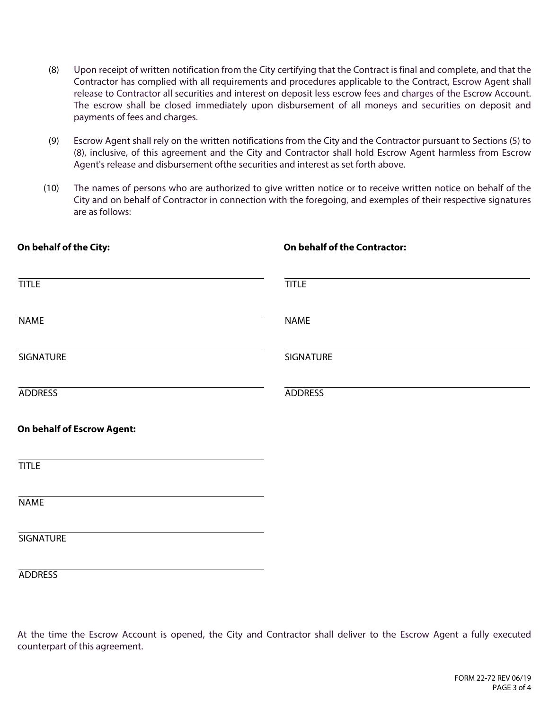- (8) Upon receipt of written notification from the City certifying that the Contract is final and complete, and that the Contractor has complied with all requirements and procedures applicable to the Contract, Escrow Agent shall release to Contractor all securities and interest on deposit less escrow fees and charges of the Escrow Account. The escrow shall be closed immediately upon disbursement of all moneys and securities on deposit and payments of fees and charges.
- (9) Escrow Agent shall rely on the written notifications from the City and the Contractor pursuant to Sections (5) to (8), inclusive, of this agreement and the City and Contractor shall hold Escrow Agent harmless from Escrow Agent's release and disbursement ofthe securities and interest as set forth above.
- (10) The names of persons who are authorized to give written notice or to receive written notice on behalf of the City and on behalf of Contractor in connection with the foregoing, and exemples of their respective signatures are as follows:

| On behalf of the City:            | On behalf of the Contractor: |
|-----------------------------------|------------------------------|
| <b>TITLE</b>                      | <b>TITLE</b>                 |
| <b>NAME</b>                       | <b>NAME</b>                  |
| <b>SIGNATURE</b>                  | <b>SIGNATURE</b>             |
| <b>ADDRESS</b>                    | <b>ADDRESS</b>               |
| <b>On behalf of Escrow Agent:</b> |                              |
| <b>TITLE</b>                      |                              |
| <b>NAME</b>                       |                              |
| <b>SIGNATURE</b>                  |                              |
| <b>ADDRESS</b>                    |                              |

At the time the Escrow Account is opened, the City and Contractor shall deliver to the Escrow Agent a fully executed counterpart of this agreement.